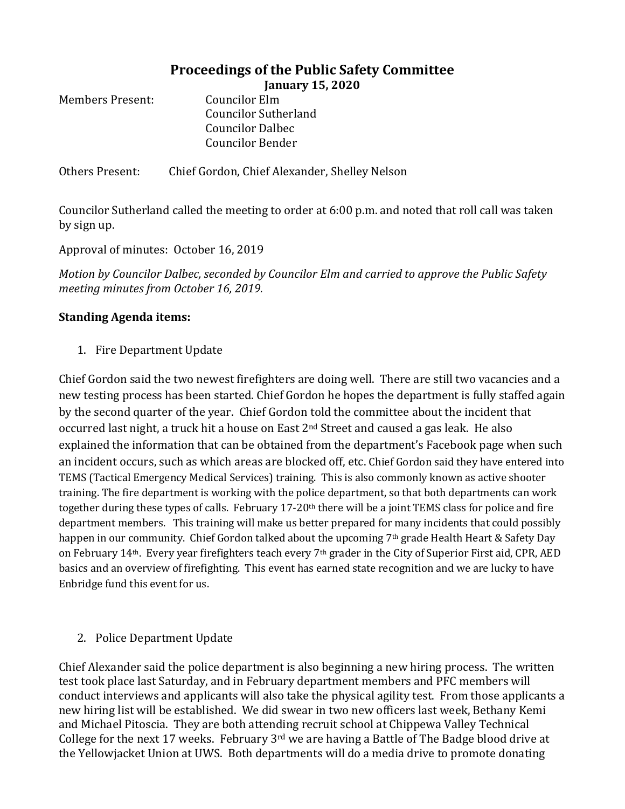## **Proceedings of the Public Safety Committee January 15, 2020**

| Members Present: | Councilor Elm               |
|------------------|-----------------------------|
|                  | <b>Councilor Sutherland</b> |
|                  | <b>Councilor Dalbec</b>     |
|                  | Councilor Bender            |
|                  |                             |

Others Present: Chief Gordon, Chief Alexander, Shelley Nelson

Councilor Sutherland called the meeting to order at 6:00 p.m. and noted that roll call was taken by sign up.

Approval of minutes: October 16, 2019

*Motion by Councilor Dalbec, seconded by Councilor Elm and carried to approve the Public Safety meeting minutes from October 16, 2019.*

## **Standing Agenda items:**

1. Fire Department Update

Chief Gordon said the two newest firefighters are doing well. There are still two vacancies and a new testing process has been started. Chief Gordon he hopes the department is fully staffed again by the second quarter of the year. Chief Gordon told the committee about the incident that occurred last night, a truck hit a house on East  $2<sup>nd</sup>$  Street and caused a gas leak. He also explained the information that can be obtained from the department's Facebook page when such an incident occurs, such as which areas are blocked off, etc. Chief Gordon said they have entered into TEMS (Tactical Emergency Medical Services) training. This is also commonly known as active shooter training. The fire department is working with the police department, so that both departments can work together during these types of calls. February  $17\text{-}20^{\text{th}}$  there will be a joint TEMS class for police and fire department members. This training will make us better prepared for many incidents that could possibly happen in our community. Chief Gordon talked about the upcoming 7<sup>th</sup> grade Health Heart & Safety Day on February 14<sup>th</sup>. Every year firefighters teach every 7<sup>th</sup> grader in the City of Superior First aid, CPR, AED basics and an overview of firefighting. This event has earned state recognition and we are lucky to have Enbridge fund this event for us.

## 2. Police Department Update

Chief Alexander said the police department is also beginning a new hiring process. The written test took place last Saturday, and in February department members and PFC members will conduct interviews and applicants will also take the physical agility test. From those applicants a new hiring list will be established. We did swear in two new officers last week, Bethany Kemi and Michael Pitoscia. They are both attending recruit school at Chippewa Valley Technical College for the next 17 weeks. February  $3<sup>rd</sup>$  we are having a Battle of The Badge blood drive at the Yellowjacket Union at UWS. Both departments will do a media drive to promote donating